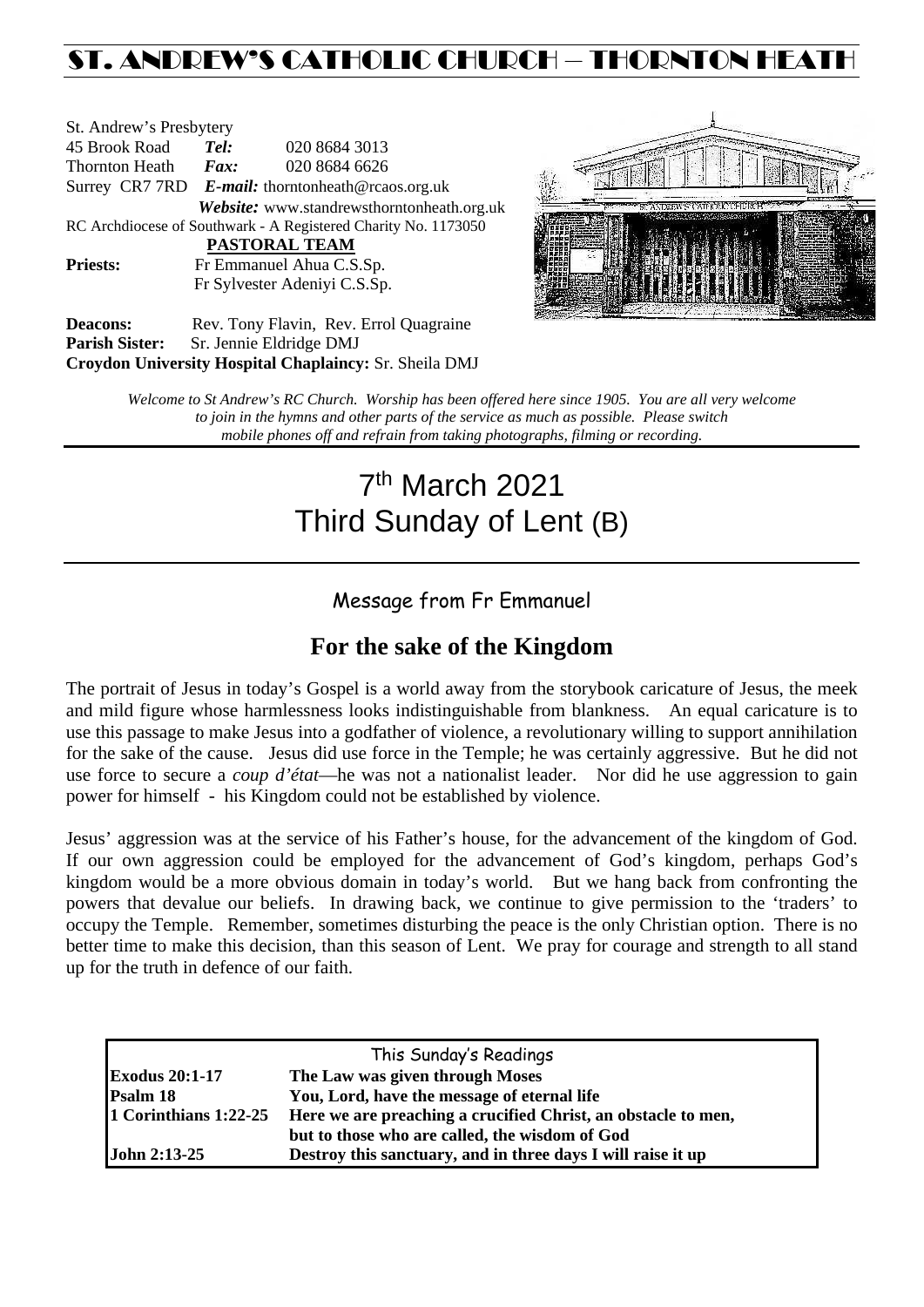# ST. ANDREW'S CATHOLIC CHURCH – THORNTON HEATH

| St. Andrew's Presbytery                                        |                                                      |                                            |  |  |  |
|----------------------------------------------------------------|------------------------------------------------------|--------------------------------------------|--|--|--|
| 45 Brook Road                                                  | Tel:                                                 | 020 8684 3013                              |  |  |  |
| Thornton Heath                                                 | Fax:                                                 | 020 8684 6626                              |  |  |  |
|                                                                | Surrey CR7 7RD $E$ -mail: thorntonheath@rcaos.org.uk |                                            |  |  |  |
|                                                                |                                                      | Website: www.standrewsthorntonheath.org.uk |  |  |  |
| RC Archdiocese of Southwark - A Registered Charity No. 1173050 |                                                      |                                            |  |  |  |
|                                                                |                                                      | PASTORAL TEAM                              |  |  |  |
| <b>Priests:</b>                                                | Fr Emmanuel Ahua C.S.Sp.                             |                                            |  |  |  |
|                                                                |                                                      | Fr Sylvester Adeniyi C.S.Sp.               |  |  |  |
| Deacons:                                                       |                                                      | Rev. Tony Flavin. Rev. Errol Quagraine     |  |  |  |



Deacons: Rev. Tony Flavin, Rev. Errol Quagraine **Parish Sister:** Sr. Jennie Eldridge DMJ **Croydon University Hospital Chaplaincy:** Sr. Sheila DMJ

> *Welcome to St Andrew's RC Church. Worship has been offered here since 1905. You are all very welcome to join in the hymns and other parts of the service as much as possible. Please switch mobile phones off and refrain from taking photographs, filming or recording.*

# 7th March 2021 Third Sunday of Lent (B)

# Message from Fr Emmanuel

# **For the sake of the Kingdom**

The portrait of Jesus in today's Gospel is a world away from the storybook caricature of Jesus, the meek and mild figure whose harmlessness looks indistinguishable from blankness. An equal caricature is to use this passage to make Jesus into a godfather of violence, a revolutionary willing to support annihilation for the sake of the cause. Jesus did use force in the Temple; he was certainly aggressive. But he did not use force to secure a *coup d'état*—he was not a nationalist leader. Nor did he use aggression to gain power for himself - his Kingdom could not be established by violence.

Jesus' aggression was at the service of his Father's house, for the advancement of the kingdom of God. If our own aggression could be employed for the advancement of God's kingdom, perhaps God's kingdom would be a more obvious domain in today's world. But we hang back from confronting the powers that devalue our beliefs. In drawing back, we continue to give permission to the 'traders' to occupy the Temple. Remember, sometimes disturbing the peace is the only Christian option. There is no better time to make this decision, than this season of Lent. We pray for courage and strength to all stand up for the truth in defence of our faith.

|                       | This Sunday's Readings                                        |  |  |
|-----------------------|---------------------------------------------------------------|--|--|
| <b>Exodus 20:1-17</b> | The Law was given through Moses                               |  |  |
| Psalm 18              | You, Lord, have the message of eternal life                   |  |  |
| 1 Corinthians 1:22-25 | Here we are preaching a crucified Christ, an obstacle to men, |  |  |
|                       | but to those who are called, the wisdom of God                |  |  |
| <b>John 2:13-25</b>   | Destroy this sanctuary, and in three days I will raise it up  |  |  |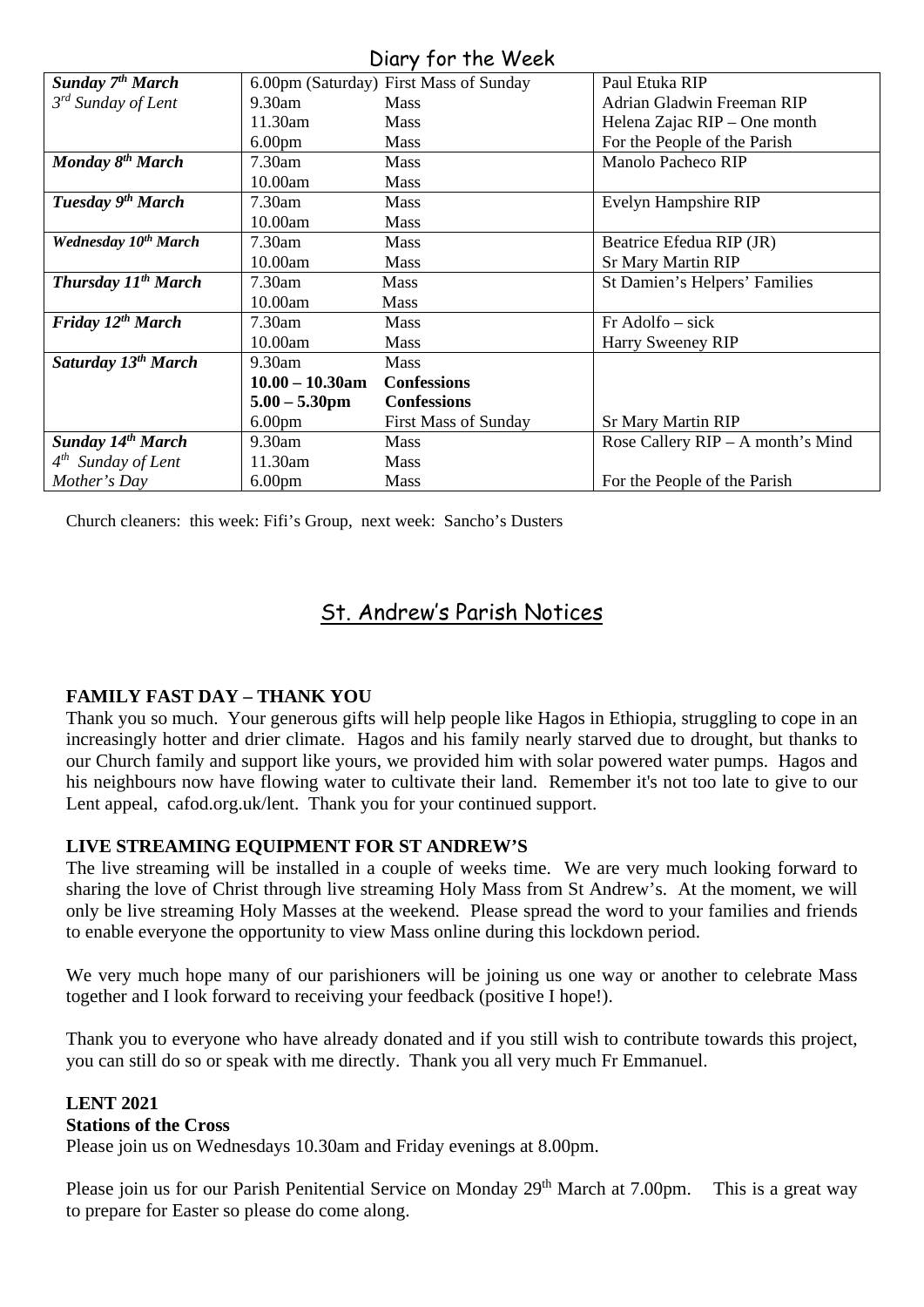# Diary for the Week

|                                  | $1011$ , $1011101$ |                                        |                                   |  |  |  |
|----------------------------------|--------------------|----------------------------------------|-----------------------------------|--|--|--|
| Sunday 7 <sup>th</sup> March     |                    | 6.00pm (Saturday) First Mass of Sunday | Paul Etuka RIP                    |  |  |  |
| $3^{rd}$ Sunday of Lent          | $9.30$ am          | <b>Mass</b>                            | Adrian Gladwin Freeman RIP        |  |  |  |
|                                  | 11.30am            | <b>Mass</b>                            | Helena Zajac RIP – One month      |  |  |  |
|                                  | 6.00 <sub>pm</sub> | Mass                                   | For the People of the Parish      |  |  |  |
| Monday 8 <sup>th</sup> March     | 7.30am             | <b>Mass</b>                            | Manolo Pacheco RIP                |  |  |  |
|                                  | 10.00am            | <b>Mass</b>                            |                                   |  |  |  |
| Tuesday 9 <sup>th</sup> March    | 7.30am             | <b>Mass</b>                            | Evelyn Hampshire RIP              |  |  |  |
|                                  | 10.00am            | Mass                                   |                                   |  |  |  |
| Wednesday 10 <sup>th</sup> March | $7.30$ am          | <b>Mass</b>                            | Beatrice Efedua RIP (JR)          |  |  |  |
|                                  | 10.00am            | <b>Mass</b>                            | <b>Sr Mary Martin RIP</b>         |  |  |  |
| <b>Thursday 11th March</b>       | 7.30am             | <b>Mass</b>                            | St Damien's Helpers' Families     |  |  |  |
|                                  | 10.00am            | <b>Mass</b>                            |                                   |  |  |  |
| Friday $12^{th}$ March           | $7.30$ am          | <b>Mass</b>                            | Fr Adolfo – sick                  |  |  |  |
|                                  | 10.00am            | <b>Mass</b>                            | Harry Sweeney RIP                 |  |  |  |
| Saturday 13 <sup>th</sup> March  | 9.30am             | <b>Mass</b>                            |                                   |  |  |  |
|                                  | $10.00 - 10.30$ am | <b>Confessions</b>                     |                                   |  |  |  |
|                                  | $5.00 - 5.30$ pm   | <b>Confessions</b>                     |                                   |  |  |  |
|                                  | 6.00 <sub>pm</sub> | <b>First Mass of Sunday</b>            | <b>Sr Mary Martin RIP</b>         |  |  |  |
| <b>Sunday 14th March</b>         | 9.30am             | <b>Mass</b>                            | Rose Callery RIP – A month's Mind |  |  |  |
| $4^{th}$ Sunday of Lent          | 11.30am            | <b>Mass</b>                            |                                   |  |  |  |
| Mother's Day                     | 6.00 <sub>pm</sub> | <b>Mass</b>                            | For the People of the Parish      |  |  |  |

Church cleaners: this week: Fifi's Group, next week: Sancho's Dusters

# St. Andrew's Parish Notices

# **FAMILY FAST DAY – THANK YOU**

Thank you so much. Your generous gifts will help people like Hagos in Ethiopia, struggling to cope in an increasingly hotter and drier climate. Hagos and his family nearly starved due to drought, but thanks to our Church family and support like yours, we provided him with solar powered water pumps. Hagos and his neighbours now have flowing water to cultivate their land. Remember it's not too late to give to our Lent appeal, cafod.org.uk/lent. Thank you for your continued support.

# **LIVE STREAMING EQUIPMENT FOR ST ANDREW'S**

The live streaming will be installed in a couple of weeks time. We are very much looking forward to sharing the love of Christ through live streaming Holy Mass from St Andrew's. At the moment, we will only be live streaming Holy Masses at the weekend. Please spread the word to your families and friends to enable everyone the opportunity to view Mass online during this lockdown period.

We very much hope many of our parishioners will be joining us one way or another to celebrate Mass together and I look forward to receiving your feedback (positive I hope!).

Thank you to everyone who have already donated and if you still wish to contribute towards this project, you can still do so or speak with me directly. Thank you all very much Fr Emmanuel.

#### **LENT 2021 Stations of the Cross**

Please join us on Wednesdays 10.30am and Friday evenings at 8.00pm.

Please join us for our Parish Penitential Service on Monday 29<sup>th</sup> March at 7.00pm. This is a great way to prepare for Easter so please do come along.